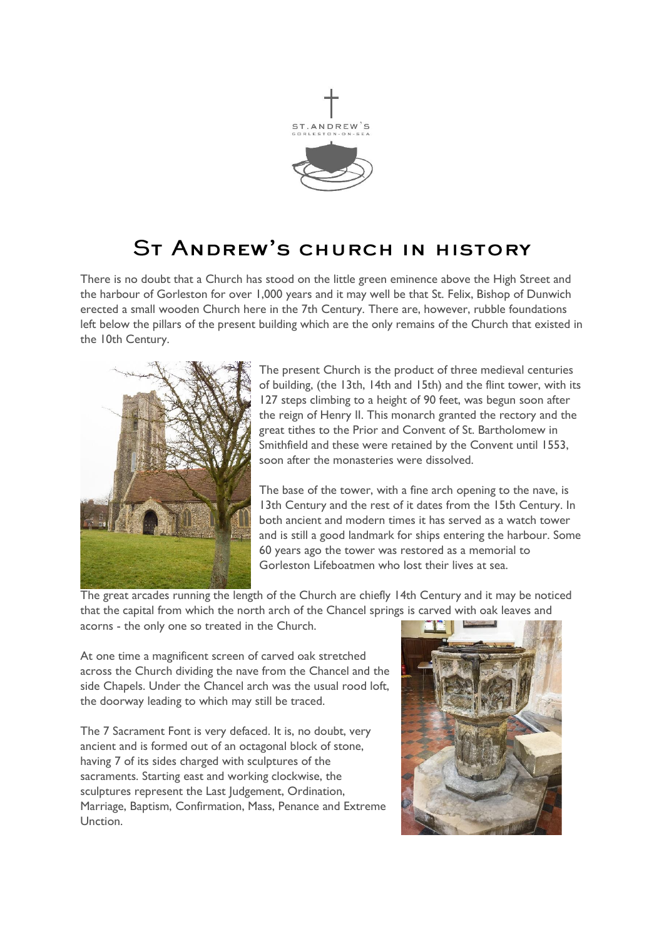

# ST ANDREW'S CHURCH IN HISTORY

There is no doubt that a Church has stood on the little green eminence above the High Street and the harbour of Gorleston for over 1,000 years and it may well be that St. Felix, Bishop of Dunwich erected a small wooden Church here in the 7th Century. There are, however, rubble foundations left below the pillars of the present building which are the only remains of the Church that existed in the 10th Century.



The present Church is the product of three medieval centuries of building, (the 13th, 14th and 15th) and the flint tower, with its 127 steps climbing to a height of 90 feet, was begun soon after the reign of Henry II. This monarch granted the rectory and the great tithes to the Prior and Convent of St. Bartholomew in Smithfield and these were retained by the Convent until 1553, soon after the monasteries were dissolved.

The base of the tower, with a fine arch opening to the nave, is 13th Century and the rest of it dates from the 15th Century. In both ancient and modern times it has served as a watch tower and is still a good landmark for ships entering the harbour. Some 60 years ago the tower was restored as a memorial to Gorleston Lifeboatmen who lost their lives at sea.

The great arcades running the length of the Church are chiefly 14th Century and it may be noticed that the capital from which the north arch of the Chancel springs is carved with oak leaves and acorns - the only one so treated in the Church.

At one time a magnificent screen of carved oak stretched across the Church dividing the nave from the Chancel and the side Chapels. Under the Chancel arch was the usual rood loft, the doorway leading to which may still be traced.

The 7 Sacrament Font is very defaced. It is, no doubt, very ancient and is formed out of an octagonal block of stone, having 7 of its sides charged with sculptures of the sacraments. Starting east and working clockwise, the sculptures represent the Last Judgement, Ordination, Marriage, Baptism, Confirmation, Mass, Penance and Extreme Unction.

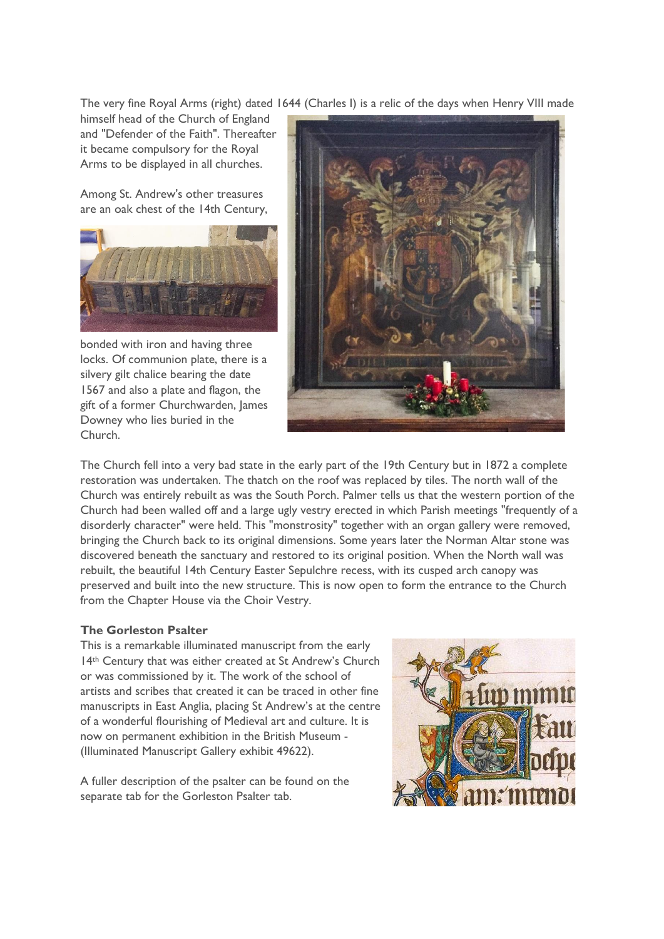The very fine Royal Arms (right) dated 1644 (Charles I) is a relic of the days when Henry VIII made

himself head of the Church of England and "Defender of the Faith". Thereafter it became compulsory for the Royal Arms to be displayed in all churches.

Among St. Andrew's other treasures are an oak chest of the 14th Century,



bonded with iron and having three locks. Of communion plate, there is a silvery gilt chalice bearing the date 1567 and also a plate and flagon, the gift of a former Churchwarden, James Downey who lies buried in the Church.



The Church fell into a very bad state in the early part of the 19th Century but in 1872 a complete restoration was undertaken. The thatch on the roof was replaced by tiles. The north wall of the Church was entirely rebuilt as was the South Porch. Palmer tells us that the western portion of the Church had been walled off and a large ugly vestry erected in which Parish meetings "frequently of a disorderly character" were held. This "monstrosity" together with an organ gallery were removed, bringing the Church back to its original dimensions. Some years later the Norman Altar stone was discovered beneath the sanctuary and restored to its original position. When the North wall was rebuilt, the beautiful 14th Century Easter Sepulchre recess, with its cusped arch canopy was preserved and built into the new structure. This is now open to form the entrance to the Church from the Chapter House via the Choir Vestry.

## **The Gorleston Psalter**

This is a remarkable illuminated manuscript from the early 14<sup>th</sup> Century that was either created at St Andrew's Church or was commissioned by it. The work of the school of artists and scribes that created it can be traced in other fine manuscripts in East Anglia, placing St Andrew's at the centre of a wonderful flourishing of Medieval art and culture. It is now on permanent exhibition in the British Museum - (Illuminated Manuscript Gallery exhibit 49622).

A fuller description of the psalter can be found on the separate tab for the Gorleston Psalter tab.

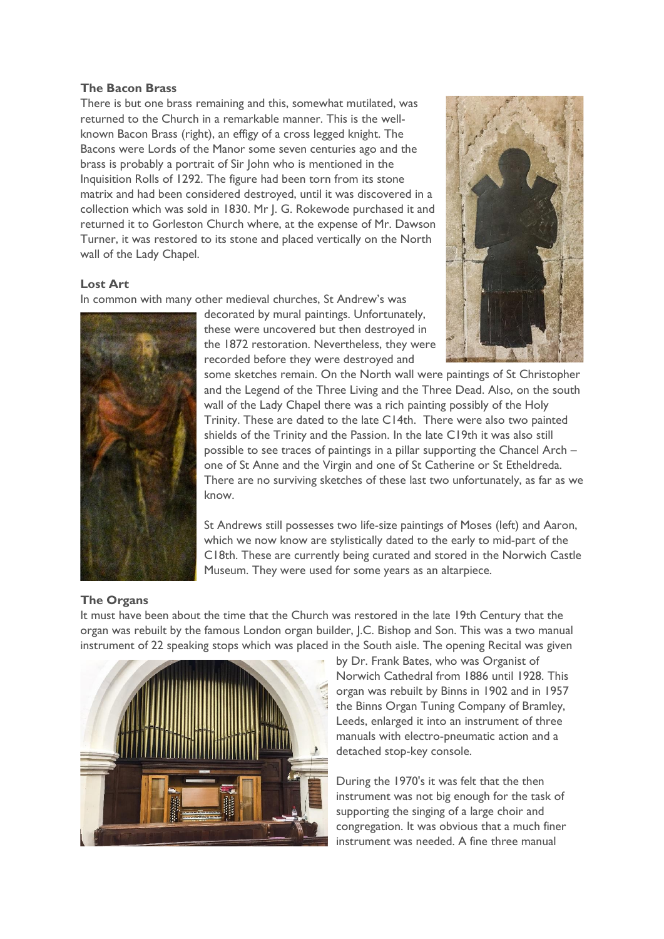#### **The Bacon Brass**

There is but one brass remaining and this, somewhat mutilated, was returned to the Church in a remarkable manner. This is the wellknown Bacon Brass (right), an effigy of a cross legged knight. The Bacons were Lords of the Manor some seven centuries ago and the brass is probably a portrait of Sir John who is mentioned in the Inquisition Rolls of 1292. The figure had been torn from its stone matrix and had been considered destroyed, until it was discovered in a collection which was sold in 1830. Mr J. G. Rokewode purchased it and returned it to Gorleston Church where, at the expense of Mr. Dawson Turner, it was restored to its stone and placed vertically on the North wall of the Lady Chapel.

## **Lost Art**

In common with many other medieval churches, St Andrew's was



decorated by mural paintings. Unfortunately, these were uncovered but then destroyed in the 1872 restoration. Nevertheless, they were recorded before they were destroyed and



some sketches remain. On the North wall were paintings of St Christopher and the Legend of the Three Living and the Three Dead. Also, on the south wall of the Lady Chapel there was a rich painting possibly of the Holy Trinity. These are dated to the late C14th. There were also two painted shields of the Trinity and the Passion. In the late C19th it was also still possible to see traces of paintings in a pillar supporting the Chancel Arch – one of St Anne and the Virgin and one of St Catherine or St Etheldreda. There are no surviving sketches of these last two unfortunately, as far as we know.

St Andrews still possesses two life-size paintings of Moses (left) and Aaron, which we now know are stylistically dated to the early to mid-part of the C18th. These are currently being curated and stored in the Norwich Castle Museum. They were used for some years as an altarpiece.

## **The Organs**

It must have been about the time that the Church was restored in the late 19th Century that the organ was rebuilt by the famous London organ builder, J.C. Bishop and Son. This was a two manual instrument of 22 speaking stops which was placed in the South aisle. The opening Recital was given



by Dr. Frank Bates, who was Organist of Norwich Cathedral from 1886 until 1928. This organ was rebuilt by Binns in 1902 and in 1957 the Binns Organ Tuning Company of Bramley, Leeds, enlarged it into an instrument of three manuals with electro-pneumatic action and a detached stop-key console.

During the 1970's it was felt that the then instrument was not big enough for the task of supporting the singing of a large choir and congregation. It was obvious that a much finer instrument was needed. A fine three manual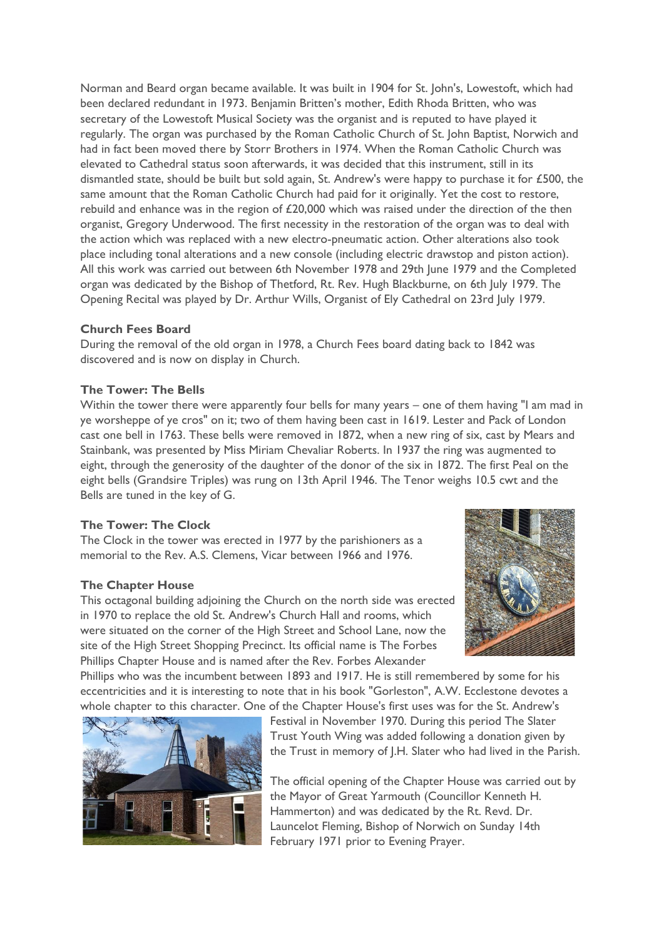Norman and Beard organ became available. It was built in 1904 for St. John's, Lowestoft, which had been declared redundant in 1973. Benjamin Britten's mother, Edith Rhoda Britten, who was secretary of the Lowestoft Musical Society was the organist and is reputed to have played it regularly. The organ was purchased by the Roman Catholic Church of St. John Baptist, Norwich and had in fact been moved there by Storr Brothers in 1974. When the Roman Catholic Church was elevated to Cathedral status soon afterwards, it was decided that this instrument, still in its dismantled state, should be built but sold again, St. Andrew's were happy to purchase it for £500, the same amount that the Roman Catholic Church had paid for it originally. Yet the cost to restore, rebuild and enhance was in the region of £20,000 which was raised under the direction of the then organist, Gregory Underwood. The first necessity in the restoration of the organ was to deal with the action which was replaced with a new electro-pneumatic action. Other alterations also took place including tonal alterations and a new console (including electric drawstop and piston action). All this work was carried out between 6th November 1978 and 29th June 1979 and the Completed organ was dedicated by the Bishop of Thetford, Rt. Rev. Hugh Blackburne, on 6th July 1979. The Opening Recital was played by Dr. Arthur Wills, Organist of Ely Cathedral on 23rd July 1979.

## **Church Fees Board**

During the removal of the old organ in 1978, a Church Fees board dating back to 1842 was discovered and is now on display in Church.

#### **The Tower: The Bells**

Within the tower there were apparently four bells for many years – one of them having "I am mad in ye worsheppe of ye cros" on it; two of them having been cast in 1619. Lester and Pack of London cast one bell in 1763. These bells were removed in 1872, when a new ring of six, cast by Mears and Stainbank, was presented by Miss Miriam Chevaliar Roberts. In 1937 the ring was augmented to eight, through the generosity of the daughter of the donor of the six in 1872. The first Peal on the eight bells (Grandsire Triples) was rung on 13th April 1946. The Tenor weighs 10.5 cwt and the Bells are tuned in the key of G.

#### **The Tower: The Clock**

The Clock in the tower was erected in 1977 by the parishioners as a memorial to the Rev. A.S. Clemens, Vicar between 1966 and 1976.

#### **The Chapter House**

This octagonal building adjoining the Church on the north side was erected in 1970 to replace the old St. Andrew's Church Hall and rooms, which were situated on the corner of the High Street and School Lane, now the site of the High Street Shopping Precinct. Its official name is The Forbes Phillips Chapter House and is named after the Rev. Forbes Alexander



Phillips who was the incumbent between 1893 and 1917. He is still remembered by some for his eccentricities and it is interesting to note that in his book "Gorleston", A.W. Ecclestone devotes a whole chapter to this character. One of the Chapter House's first uses was for the St. Andrew's



Festival in November 1970. During this period The Slater Trust Youth Wing was added following a donation given by the Trust in memory of J.H. Slater who had lived in the Parish.

The official opening of the Chapter House was carried out by the Mayor of Great Yarmouth (Councillor Kenneth H. Hammerton) and was dedicated by the Rt. Revd. Dr. Launcelot Fleming, Bishop of Norwich on Sunday 14th February 1971 prior to Evening Prayer.